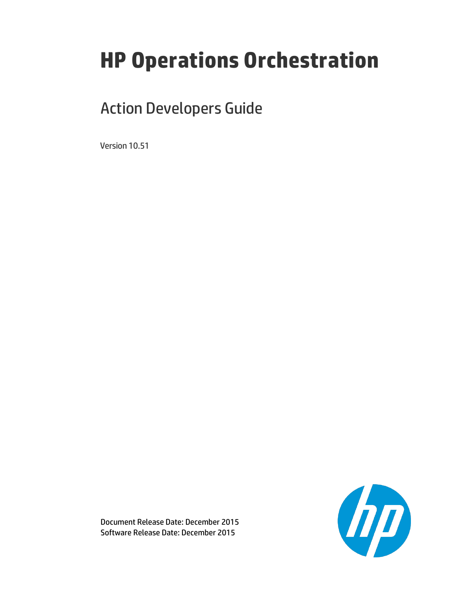# **HP Operations Orchestration**

# Action Developers Guide

Version 10.51



Document Release Date: December 2015 Software Release Date: December 2015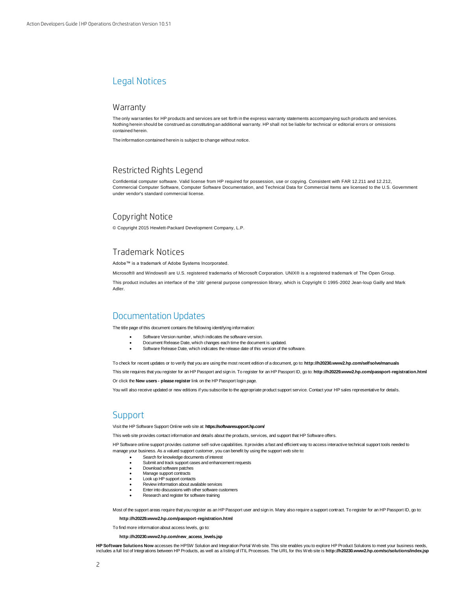# Legal Notices

#### **Warranty**

The only warranties for HP products and services are set forth in the express warranty statements accompanying such products and services. Nothing herein should be construed as constituting an additional warranty. HP shall not be liable for technical or editorial errors or omissions contained herein.

The information contained herein is subject to change without notice.

## Restricted Rights Legend

Confidential computer software. Valid license from HP required for possession, use or copying. Consistent with FAR 12.211 and 12.212, Commercial Computer Software, Computer Software Documentation, and Technical Data for Commercial Items are licensed to the U.S. Government under vendor's standard commercial license.

### Copyright Notice

© Copyright 2015 Hewlett-Packard Development Company, L.P.

#### Trademark Notices

Adobe™ is a trademark of Adobe Systems Incorporated.

Microsoft® and Windows® are U.S. registered trademarks of Microsoft Corporation. UNIX® is a registered trademark of The Open Group.

This product includes an interface of the 'zlib' general purpose compression library, which is Copyright © 1995-2002 Jean-loup Gailly and Mark Adler.

# Documentation Updates

The title page of this document contains the following identifying information:

- Software Version number, which indicates the software version.
- Document Release Date, which changes each time the document is updated.
- Software Release Date, which indicates the release date of this version of the software.

To check for recent updates or to verify that you are using the most recent edition of a document, go to: **<http://h20230.www2.hp.com/selfsolve/manuals>**

This site requires that you register for an HP Passport and sign in. To register for an HP Passport ID, go to: **<http://h20229.www2.hp.com/passport-registration.html>** Or click the **New users - please register** link on the HP Passport login page.

You will also receive updated or new editions if you subscribe to the appropriate product support service. Contact your HP sales representative for details.

## **Support**

Visit the HP Software Support Online web site at: **<https://softwaresupport.hp.com/>**

This web site provides contact information and details about the products, services, and support that HP Software offers.

HP Software online support provides customer self-solve capabilities. It provides a fast and efficient way to access interactive technical support tools needed to manage your business. As a valued support customer, you can benefit by using the support web site to:

- Search for knowledge documents of interest
- Submit and track support cases and enhancement requests
- Download software patches
- Manage support contracts
- Look up HP support contacts
- Review information about available services Enter into discussions with other software customers
- Research and register for software training

Most of the support areas require that you register as an HP Passport user and sign in. Many also require a support contract. To register for an HP Passport ID, go to:

**<http://h20229.www2.hp.com/passport-registration.html>**

To find more information about access levels, go to:

**[http://h20230.www2.hp.com/new\\_access\\_levels.jsp](http://h20230.www2.hp.com/new_access_levels.jsp)**

**HP Software Solutions Now** accesses the HPSW Solution and Integration Portal Web site. This site enables you to explore HP Product Solutions to meet your business needs, includes a full list of Integrations between HP Products, as well as a listing of ITIL Processes. The URL for this Web site is **<http://h20230.www2.hp.com/sc/solutions/index.jsp>**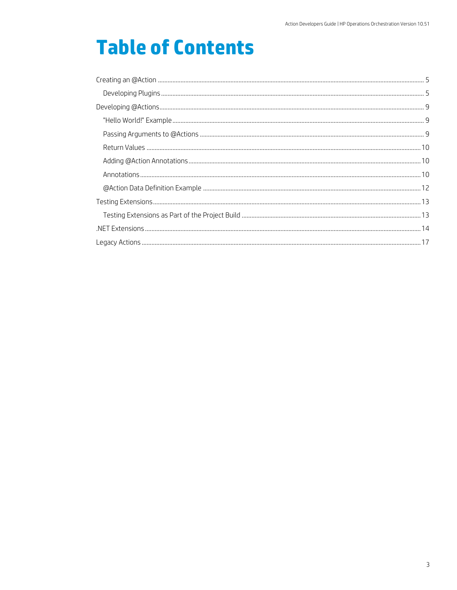# **Table of Contents**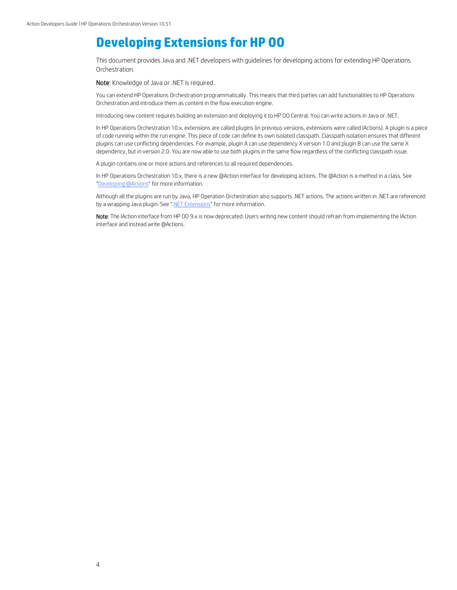# **Developing Extensions for HP OO**

This document provides Java and .NET developers with guidelines for developing actions for extending HP Operations Orchestration.

Note: Knowledge of Java or .NET is required.

You can extend HP Operations Orchestration programmatically. This means that third parties can add functionalities to HP Operations Orchestration and introduce them as content in the flow execution engine.

Introducing new content requires building an extension and deploying it to HP OO Central. You can write actions in Java or .NET.

In HP Operations Orchestration 10.x, extensions are called plugins (in previous versions, extensions were called IActions). A plugin is a piece of code running within the run engine. This piece of code can define its own isolated classpath. Classpath isolation ensures that different plugins can use conflicting dependencies. For example, plugin A can use dependency X version 1.0 and plugin B can use the same X dependency, but in version 2.0. You are now able to use both plugins in the same flow regardless of the conflicting classpath issue.

A plugin contains one or more actions and references to all required dependencies.

In HP Operations Orchestration 10.x, there is a new @Action interface for developing actions. The @Action is a method in a class. See ["Developing @Actions"](#page-8-0) for more information.

Although all the plugins are run by Java, HP Operation Orchestration also supports .NET actions. The actions written in .NET are referenced by a wrapping Java plugin. See [".NET Extensions"](#page-13-0) for more information.

Note: The IAction interface from HP 00 9.x is now deprecated. Users writing new content should refrain from implementing the IAction interface and instead write @Actions.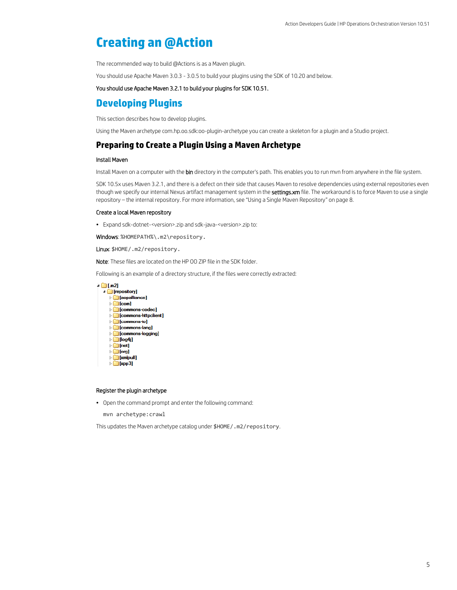# <span id="page-4-0"></span>**Creating an @Action**

The recommended way to build @Actions is as a Maven plugin.

You should use Apache Maven 3.0.3 - 3.0.5 to build your plugins using the SDK of 10.20 and below.

You should use Apache Maven 3.2.1 to build your plugins for SDK 10.51.

# <span id="page-4-1"></span>**Developing Plugins**

This section describes how to develop plugins.

Using the Maven archetype com.hp.oo.sdk:oo-plugin-archetype you can create a skeleton for a plugin and a Studio project.

### **Preparing to Create a Plugin Using a Maven Archetype**

#### Install Maven

Install Maven on a computer with the bin directory in the computer's path. This enables you to run mvn from anywhere in the file system.

SDK 10.5x uses Maven 3.2.1, and there is a defect on their side that causes Maven to resolve dependencies using external repositories even though we specify our internal Nexus artifact management system in the settings.xm file. The workaround is to force Maven to use a single repository – the internal repository. For more information, see "Using a Single Maven Repository" on pag[e 8.](#page-7-0)

#### Create a local Maven repository

• Expand sdk-dotnet-<version>.zip and sdk-java-<version>.zip to:

Windows: %HOMEPATH%\.m2\repository.

Linux: \$HOME/.m2/repository.

Note: These files are located on the HP OO ZIP file in the SDK folder.

Following is an example of a directory structure, if the files were correctly extracted:



#### Register the plugin archetype

• Open the command prompt and enter the following command:

mvn archetype:crawl

This updates the Maven archetype catalog under \$HOME/.m2/repository.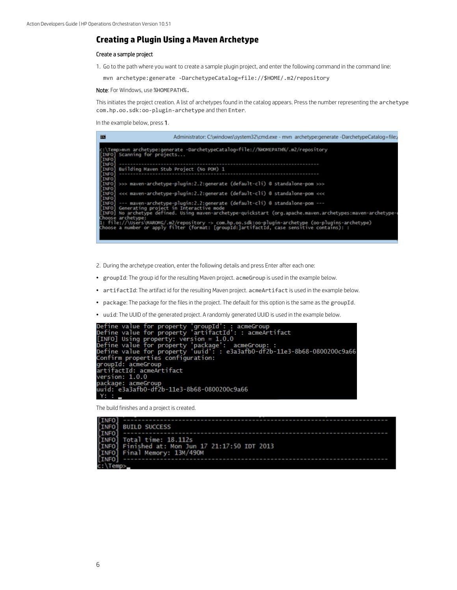### **Creating a Plugin Using a Maven Archetype**

#### Create a sample project

1. Go to the path where you want to create a sample plugin project, and enter the following command in the command line:

mvn archetype:generate -DarchetypeCatalog=file://\$HOME/.m2/repository

Note: For Windows, use %HOMEPATH%.

This initiates the project creation. A list of archetypes found in the catalog appears. Press the number representing the archetype com.hp.oo.sdk:oo-plugin-archetype and then Enter.

In the example below, press 1.

| 區                                     | Administrator: C:\windows\system32\cmd.exe - mvn_archetype:generate -DarchetypeCatalog=file:/                                                                                                    |
|---------------------------------------|--------------------------------------------------------------------------------------------------------------------------------------------------------------------------------------------------|
| <b>LINFO</b><br>[INFO]<br><b>INFO</b> | c:\Temp>mvn archetype:generate -DarchetypeCatalog=file://%WOMEPATH%/.m2/repository<br>Scanning for projects                                                                                      |
| [INFO]<br>[INFO]<br><b>[INFO]</b>     | Building Maven Stub Project (No POM) 1                                                                                                                                                           |
| [INFO]<br>[INFO]                      | >>> maven-archetype-plugin:2.2:generate (default-cli) @ standalone-pom >>><br>[INFO] <<< maven-archetype-plugin:2.2:generate (default-cli) @ standalone-pom <<<                                  |
| [INFO]                                | [INFO] --- maven-archetype-plugin:2.2:generate (default-cli) @ standalone-pom ---<br>[INFO] Generating project in Interactive mode                                                               |
|                                       | [INFO] No archetype defined. Using maven-archetype-quickstart (org.apache.maven.archetypes:maven-archetype-<br>Choose archetype:                                                                 |
|                                       | 1: file://\Users\MAROMG/.m2/repository => com.hp.oo.sdk:oo-plugin-archetype (oo-plugins-archetype)<br>Choose a number or apply filter (format: [ɡroupId:]artifactId, case sensitive contains): : |

- 2. During the archetype creation, enter the following details and press Enter after each one:
- groupId: The group id for the resulting Maven project. acmeGroup is used in the example below.
- artifactId: The artifact id for the resulting Maven project. acmeArtifact is used in the example below.
- package: The package for the files in the project. The default for this option is the same as the groupId.
- uuid: The UUID of the generated project. A randomly generated UUID is used in the example below.

```
Define value for property 'groupId': : acmeGroup<br>Define value for property 'artifactId': : acmeArtifact<br>[INFO] Using property: version = 1.0.0<br>Define value for property 'package': acmeGroup: :<br>Define value for property 'uu
Derine value for property duid : : esasant<br>confirm properties configuration:<br>groupId: acmeGroup<br>artifactId: acmeArtifact<br>version: 1.0.0<br>package: acmeGroup<br>uuid: e3a3afb0-df2b-11e3-8b68-0800200c9a66
    Y
```
The build finishes and a project is created.

```
INFO
INFO
       BUILD SUCCESS
INFO
       Total time: 18.112s<br>Finished at: Mon Jun 17 21:17:50 IDT 2013
INFO
INFO
INFO
       Final Memory: 13M/490M
INFO
 Temp:
```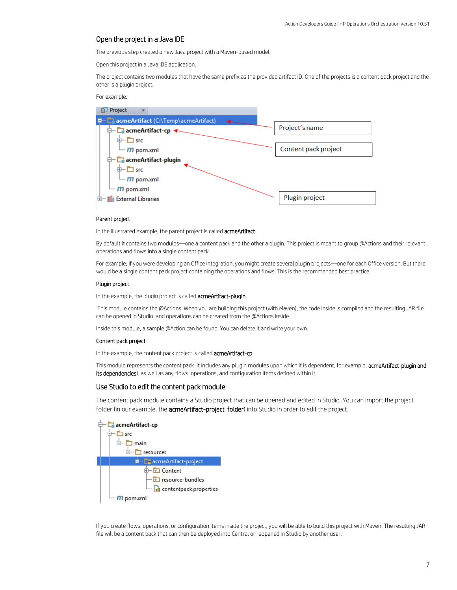#### Open the project in a Java IDE

The previous step created a new Java project with a Maven-based model.

Open this project in a Java IDE application.

The project contains two modules that have the same prefix as the provided artifact ID. One of the projects is a content pack project and the other is a plugin project.

For example:



#### Parent project

In the illustrated example, the parent project is called **acmeArtifact**.

By default it contains two modules—one a content pack and the other a plugin. This project is meant to group @Actions and their relevant operations and flows into a single content pack.

For example, if you were developing an Office integration, you might create several plugin projects—one for each Office version. But there would be a single content pack project containing the operations and flows. This is the recommended best practice.

#### Plugin project

In the example, the plugin project is called acmeArtifact-plugin.

This module contains the @Actions. When you are building this project (with Maven), the code inside is compiled and the resulting JAR file can be opened in Studio, and operations can be created from the @Actions inside.

Inside this module, a sample @Action can be found. You can delete it and write your own.

#### Content pack project

In the example, the content pack project is called acmeArtifact-cp.

This module represents the content pack. It includes any plugin modules upon which it is dependent, for example, acmeArtifact-plugin and its dependencies), as well as any flows, operations, and configuration items defined within it.

#### Use Studio to edit the content pack module

The content pack module contains a Studio project that can be opened and edited in Studio. You can import the project folder (in our example, the **acmeArtifact-project folder**) into Studio in order to edit the project.



If you create flows, operations, or configuration items inside the project, you will be able to build this project with Maven. The resulting JAR file will be a content pack that can then be deployed into Central or reopened in Studio by another user.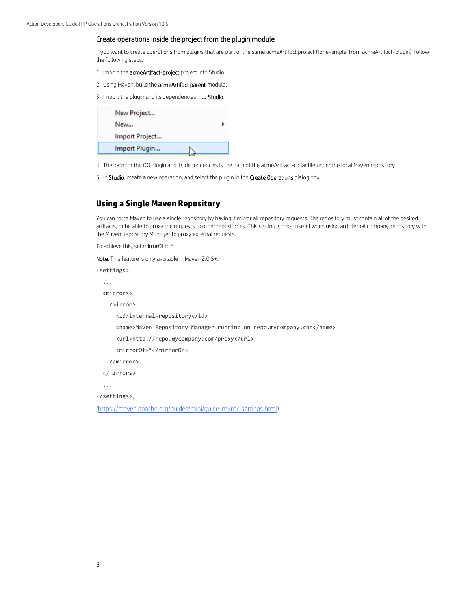#### Create operations inside the project from the plugin module

If you want to create operations from plugins that are part of the same acmeArtifact project (for example, from acmeArtifact-plugin), follow the following steps:

- 1. Import the acmeArtifact-project project into Studio.
- 2. Using Maven, build the acmeArtifact parent module.

3. Import the plugin and its dependencies into Studio.

| New Project    |  |
|----------------|--|
| New            |  |
| Import Project |  |
| Import Plugin  |  |
|                |  |

4. The path for the OO plugin and its dependencies is the path of the acmeArtifact-cp.jar file under the local Maven repository.

5. In Studio, create a new operation, and select the plugin in the Create Operations dialog box.

### <span id="page-7-0"></span>**Using a Single Maven Repository**

You can force Maven to use a single repository by having it mirror all repository requests. The repository must contain all of the desired artifacts, or be able to proxy the requests to other repositories. This setting is most useful when using an internal company repository with the Maven Repository Manager to proxy external requests.

To achieve this, set mirrorOf to \*.

Note: This feature is only available in Maven 2.0.5+.

```
<settings>
   ...
   <mirrors>
     <mirror>
       <id>internal-repository</id>
       <name>Maven Repository Manager running on repo.mycompany.com</name>
       <url>http://repo.mycompany.com/proxy</url>
       <mirrorOf>*</mirrorOf>
     </mirror>
   </mirrors>
   ...
</settings>,
```
[\(https://maven.apache.org/guides/mini/guide-mirror-settings.html\)](https://maven.apache.org/guides/mini/guide-mirror-settings.html)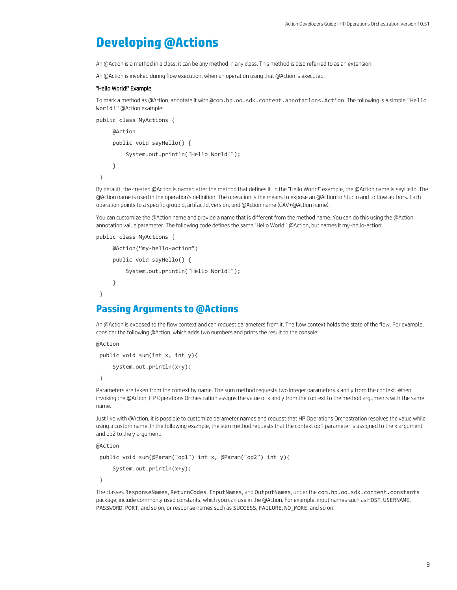# <span id="page-8-0"></span>**Developing @Actions**

An @Action is a method in a class; it can be any method in any class. This method is also referred to as an extension.

An @Action is invoked during flow execution, when an operation using that @Action is executed.

#### <span id="page-8-1"></span>"Hello World!" Example

To mark a method as @Action, annotate it with @com.hp.oo.sdk.content.annotations.Action. The following is a simple "Hello World!" @Action example:

```
public class MyActions {
```

```
 @Action
     public void sayHello() {
         System.out.println("Hello World!");
     }
}
```
By default, the created @Action is named after the method that defines it. In the "Hello World!" example, the @Action name is sayHello. The @Action name is used in the operation's definition. The operation is the means to expose an @Action to Studio and to flow authors. Each operation points to a specific groupId, artifactId, version, and @Action name (GAV+@Action name).

You can customize the @Action name and provide a name that is different from the method name. You can do this using the @Action annotation value parameter. The following code defines the same "Hello World!" @Action, but names it my-hello-action:

```
public class MyActions {
```

```
 @Action("my-hello-action")
 public void sayHello() {
     System.out.println("Hello World!");
 }
```
# <span id="page-8-2"></span>**Passing Arguments to @Actions**

An @Action is exposed to the flow context and can request parameters from it. The flow context holds the state of the flow. For example, consider the following @Action, which adds two numbers and prints the result to the console:

@Action

}

public void sum(int x, int y){

System.out.println(x+y);

}

Parameters are taken from the context by name. The sum method requests two integer parameters x and y from the context. When invoking the @Action, HP Operations Orchestration assigns the value of x and y from the context to the method arguments with the same name.

Just like with @Action, it is possible to customize parameter names and request that HP Operations Orchestration resolves the value while using a custom name. In the following example, the sum method requests that the context op1 parameter is assigned to the x argument and op2 to the y argument:

@Action

```
public void sum(@Param("op1") int x, @Param("op2") int y){
     System.out.println(x+y);
```
}

The classes ResponseNames, ReturnCodes, InputNames, and OutputNames, under the com.hp.oo.sdk.content.constants package, include commonly used constants, which you can use in the @Action. For example, input names such as HOST, USERNAME, PASSWORD, PORT, and so on, or response names such as SUCCESS, FAILURE, NO\_MORE, and so on.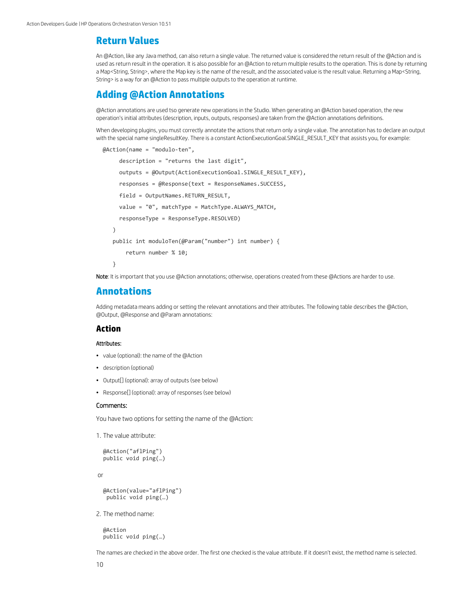# <span id="page-9-0"></span>**Return Values**

An @Action, like any Java method, can also return a single value. The returned value is considered the return result of the @Action and is used as return result in the operation. It is also possible for an @Action to return multiple results to the operation. This is done by returning a Map<String, String>, where the Map key is the name of the result, and the associated value is the result value. Returning a Map<String, String> is a way for an @Action to pass multiple outputs to the operation at runtime.

# <span id="page-9-1"></span>**Adding @Action Annotations**

@Action annotations are used tso generate new operations in the Studio. When generating an @Action based operation, the new operation's initial attributes (description, inputs, outputs, responses) are taken from the @Action annotations definitions.

When developing plugins, you must correctly annotate the actions that return only a single value. The annotation has to declare an output with the special name singleResultKey. There is a constant ActionExecutionGoal.SINGLE\_RESULT\_KEY that assists you, for example:

```
 @Action(name = "modulo-ten",
      description = "returns the last digit",
      outputs = @Output(ActionExecutionGoal.SINGLE_RESULT_KEY),
      responses = @Response(text = ResponseNames.SUCCESS, 
      field = OutputNames.RETURN_RESULT, 
     value = "0", matchType = MatchType.ALWAYS MATCH,
      responseType = ResponseType.RESOLVED)
    )
    public int moduloTen(@Param("number") int number) {
        return number % 10;
    }
```
Note: It is important that you use @Action annotations; otherwise, operations created from these @Actions are harder to use.

## <span id="page-9-2"></span>**Annotations**

Adding metadata means adding or setting the relevant annotations and their attributes. The following table describes the @Action, @Output, @Response and @Param annotations:

### **Action**

#### Attributes:

- value (optional): the name of the @Action
- description (optional)
- Output[] (optional): array of outputs (see below)
- Response[] (optional): array of responses (see below)

#### Comments:

You have two options for setting the name of the @Action:

1. The value attribute:

```
@Action("aflPing")
public void ping(…)
```
or

```
@Action(value="aflPing")
 public void ping(…)
```
2. The method name:

@Action public void ping(…)

The names are checked in the above order. The first one checked is the value attribute. If it doesn't exist, the method name is selected.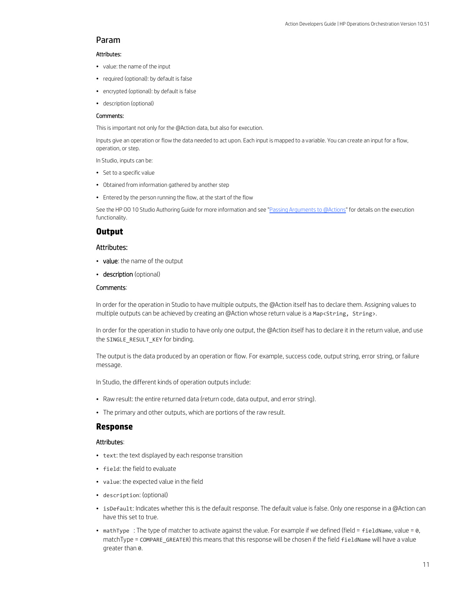### Param

#### Attributes:

- value: the name of the input
- required (optional): by default is false
- encrypted (optional): by default is false
- description (optional)

#### Comments:

This is important not only for the @Action data, but also for execution.

Inputs give an operation or flow the data needed to act upon. Each input is mapped to a variable. You can create an input for a flow, operation, or step.

In Studio, inputs can be:

- Set to a specific value
- Obtained from information gathered by another step
- Entered by the person running the flow, at the start of the flow

See the HP 00 10 Studio Authoring Guide for more information and see ["Passing Arguments to @Actions"](#page-8-2) for details on the execution functionality.

#### **Output**

#### Attributes:

- value: the name of the output
- description (optional)

#### Comments:

In order for the operation in Studio to have multiple outputs, the @Action itself has to declare them. Assigning values to multiple outputs can be achieved by creating an @Action whose return value is a Map<String, String>.

In order for the operation in studio to have only one output, the @Action itself has to declare it in the return value, and use the SINGLE\_RESULT\_KEY for binding.

The output is the data produced by an operation or flow. For example, success code, output string, error string, or failure message.

In Studio, the different kinds of operation outputs include:

- Raw result: the entire returned data (return code, data output, and error string).
- The primary and other outputs, which are portions of the raw result.

#### **Response**

#### Attributes:

- text: the text displayed by each response transition
- field: the field to evaluate
- value: the expected value in the field
- description: (optional)
- isDefault: Indicates whether this is the default response. The default value is false. Only one response in a @Action can have this set to true.
- mathType : The type of matcher to activate against the value. For example if we defined (field = fieldName, value = 0, matchType = COMPARE\_GREATER) this means that this response will be chosen if the field fieldName will have a value greater than 0.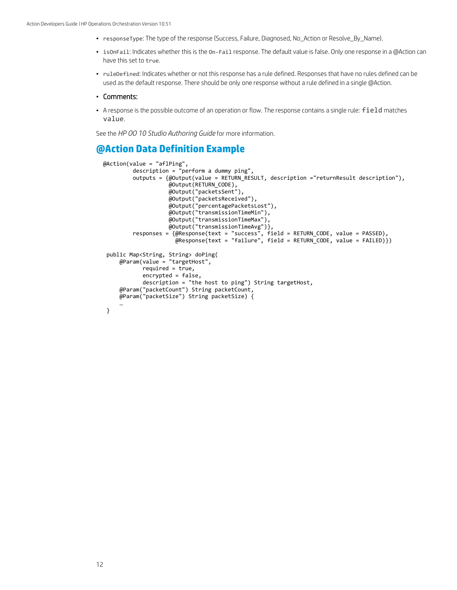- responseType: The type of the response (Success, Failure, Diagnosed, No\_Action or Resolve\_By\_Name).
- isOnFail: Indicates whether this is the On-Fail response. The default value is false. Only one response in a @Action can have this set to true.
- ruleDefined: Indicates whether or not this response has a rule defined. Responses that have no rules defined can be used as the default response. There should be only one response without a rule defined in a single @Action.

#### • Comments:

• A response is the possible outcome of an operation or flow. The response contains a single rule: field matches value.

See the *HP OO 10 Studio Authoring Guide* for more information.

# <span id="page-11-0"></span>**@Action Data Definition Example**

```
@Action(value = "aflPing",
        description = "perform a dummy ping", outputs = {@Output(value = RETURN_RESULT, description ="returnResult description"),
                    @Output(RETURN_CODE),
                   @Output("packetsSent"),
                   @Output("packetsReceived"),
                   @Output("percentagePacketsLost"),
                   @Output("transmissionTimeMin"),
                   @Output("transmissionTimeMax"),
  @Output("transmissionTimeAvg")},
 responses = {@Response(text = "success", field = RETURN_CODE, value = PASSED),
 @Response(text = "failure", field = RETURN_CODE, value = FAILED)})
 public Map<String, String> doPing(
     @Param(value = "targetHost",
           required = true, encrypted = false,
            description = "the host to ping") String targetHost,
     @Param("packetCount") String packetCount,
     @Param("packetSize") String packetSize) {
 …
```

```
}
```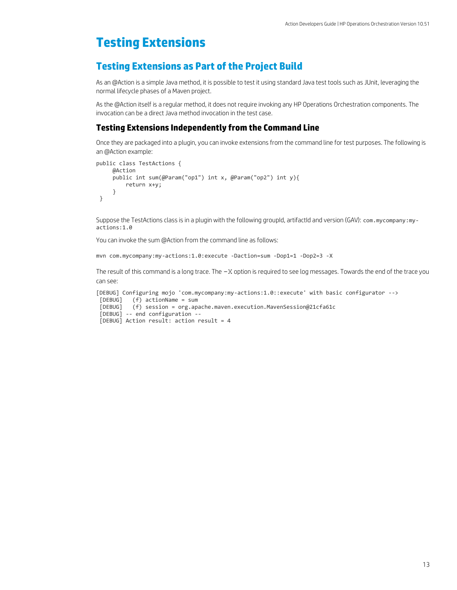# <span id="page-12-0"></span>**Testing Extensions**

# <span id="page-12-1"></span>**Testing Extensions as Part of the Project Build**

As an @Action is a simple Java method, it is possible to test it using standard Java test tools such as JUnit, leveraging the normal lifecycle phases of a Maven project.

As the @Action itself is a regular method, it does not require invoking any HP Operations Orchestration components. The invocation can be a direct Java method invocation in the test case.

### **Testing Extensions Independently from the Command Line**

Once they are packaged into a plugin, you can invoke extensions from the command line for test purposes. The following is an @Action example:

```
public class TestActions {
      @Action
    public int sum(@Param("op1") int x, @Param("op2") int y){
          return x+y;
      }
}
```
Suppose the TestActions class is in a plugin with the following groupId, artifactId and version (GAV): com.mycompany:myactions:1.0

You can invoke the sum @Action from the command line as follows:

mvn com.mycompany:my-actions:1.0:execute -Daction=sum -Dop1=1 -Dop2=3 -X

The result of this command is a long trace. The  $-X$  option is required to see log messages. Towards the end of the trace you can see:

```
[DEBUG] Configuring mojo 'com.mycompany:my-actions:1.0::execute' with basic configurator -->
 [DEBUG] (f) actionName = sum
 [DEBUG] (f) session = org.apache.maven.execution.MavenSession@21cfa61c
 [DEBUG] -- end configuration --
 [DEBUG] Action result: action result = 4
```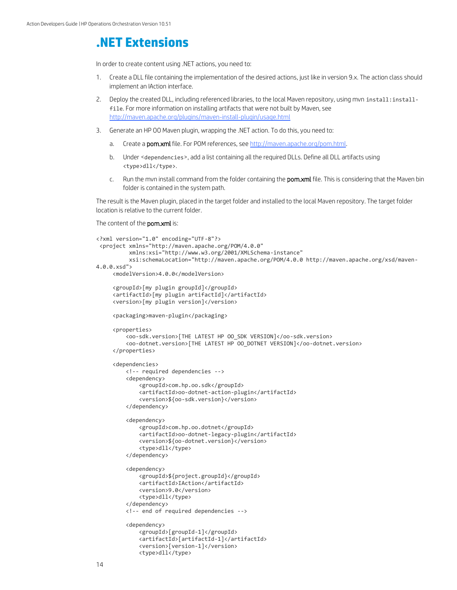# <span id="page-13-0"></span>**.NET Extensions**

In order to create content using .NET actions, you need to:

- 1. Create a DLL file containing the implementation of the desired actions, just like in version 9.x. The action class should implement an IAction interface.
- 2. Deploy the created DLL, including referenced libraries, to the local Maven repository, using mvn install: installfile. For more information on installing artifacts that were not built by Maven, see <http://maven.apache.org/plugins/maven-install-plugin/usage.html>
- 3. Generate an HP OO Maven plugin, wrapping the .NET action. To do this, you need to:
	- a. Create a pom.xml file. For POM references, se[e http://maven.apache.org/pom.html.](http://maven.apache.org/pom.html)
	- b. Under <dependencies>, add a list containing all the required DLLs. Define all DLL artifacts using <type>dll</type>.
	- c. Run the mvn install command from the folder containing the pom.xml file. This is considering that the Maven bin folder is contained in the system path.

The result is the Maven plugin, placed in the target folder and installed to the local Maven repository. The target folder location is relative to the current folder.

#### The content of the **pom.xml** is:

```
<?xml version="1.0" encoding="UTF-8"?>
 <project xmlns="http://maven.apache.org/POM/4.0.0"
           xmlns:xsi="http://www.w3.org/2001/XMLSchema-instance"
           xsi:schemaLocation="http://maven.apache.org/POM/4.0.0 http://maven.apache.org/xsd/maven-
4.0.0.xsd">
      <modelVersion>4.0.0</modelVersion>
      <groupId>[my plugin groupId]</groupId>
      <artifactId>[my plugin artifactId]</artifactId>
      <version>[my plugin version]</version>
      <packaging>maven-plugin</packaging>
      <properties>
          <oo-sdk.version>[THE LATEST HP OO_SDK VERSION]</oo-sdk.version>
          <oo-dotnet.version>[THE LATEST HP OO_DOTNET VERSION]</oo-dotnet.version>
      </properties>
      <dependencies>
          <!-- required dependencies -->
          <dependency>
              <groupId>com.hp.oo.sdk</groupId>
              <artifactId>oo-dotnet-action-plugin</artifactId>
              <version>${oo-sdk.version}</version>
          </dependency>
          <dependency>
              <groupId>com.hp.oo.dotnet</groupId>
              <artifactId>oo-dotnet-legacy-plugin</artifactId>
              <version>${oo-dotnet.version}</version>
              <type>dll</type>
          </dependency>
          <dependency>
              <groupId>${project.groupId}</groupId>
              <artifactId>IAction</artifactId>
              <version>9.0</version>
              <type>dll</type>
          </dependency>
          <!-- end of required dependencies -->
          <dependency>
              <groupId>[groupId-1]</groupId>
              <artifactId>[artifactId-1]</artifactId>
              <version>[version-1]</version>
              <type>dll</type>
```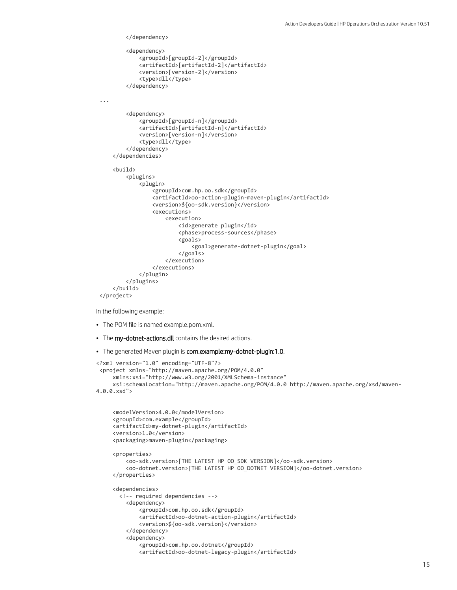```
 </dependency>
           <dependency>
               <groupId>[groupId-2]</groupId>
               <artifactId>[artifactId-2]</artifactId>
               <version>[version-2]</version>
               <type>dll</type>
          </dependency>
 ...
           <dependency>
               <groupId>[groupId-n]</groupId>
               <artifactId>[artifactId-n]</artifactId>
               <version>[version-n]</version>
               <type>dll</type>
           </dependency>
      </dependencies>
      <build>
           <plugins>
               <plugin>
                   <groupId>com.hp.oo.sdk</groupId>
                   <artifactId>oo-action-plugin-maven-plugin</artifactId>
                   <version>${oo-sdk.version}</version>
                   <executions>
                       <execution>
                            <id>generate plugin</id>
                           <phase>process-sources</phase>
                           <goals>
                                <goal>generate-dotnet-plugin</goal>
                            </goals>
                       </execution>
                   </executions>
               </plugin>
          </plugins>
      </build>
 </project>
In the following example:
• The POM file is named example.pom.xml.
• The my-dotnet-actions.dll contains the desired actions.
```
• The generated Maven plugin is com.example:my-dotnet-plugin:1.0.

```
<?xml version="1.0" encoding="UTF-8"?>
 <project xmlns="http://maven.apache.org/POM/4.0.0"
      xmlns:xsi="http://www.w3.org/2001/XMLSchema-instance"
      xsi:schemaLocation="http://maven.apache.org/POM/4.0.0 http://maven.apache.org/xsd/maven-
4.0.0.xsd">
```

```
 <modelVersion>4.0.0</modelVersion>
 <groupId>com.example</groupId>
 <artifactId>my-dotnet-plugin</artifactId>
 <version>1.0</version>
 <packaging>maven-plugin</packaging>
 <properties>
     <oo-sdk.version>[THE LATEST HP OO_SDK VERSION]</oo-sdk.version>
     <oo-dotnet.version>[THE LATEST HP OO_DOTNET VERSION]</oo-dotnet.version>
 </properties>
 <dependencies>
   <!-- required dependencies -->
     <dependency>
         <groupId>com.hp.oo.sdk</groupId>
         <artifactId>oo-dotnet-action-plugin</artifactId>
         <version>${oo-sdk.version}</version>
     </dependency>
     <dependency>
         <groupId>com.hp.oo.dotnet</groupId>
         <artifactId>oo-dotnet-legacy-plugin</artifactId>
```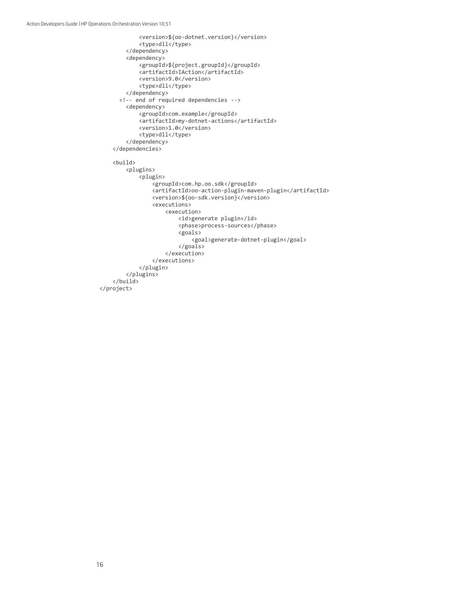```
 <version>${oo-dotnet.version}</version>
             <type>dll</type>
         </dependency>
         <dependency>
             <groupId>${project.groupId}</groupId>
             <artifactId>IAction</artifactId>
             <version>9.0</version>
             <type>dll</type>
         </dependency>
       <!-- end of required dependencies -->
         <dependency>
             <groupId>com.example</groupId>
             <artifactId>my-dotnet-actions</artifactId>
             <version>1.0</version>
             <type>dll</type>
         </dependency>
     </dependencies>
     <build>
         <plugins>
             <plugin>
                  <groupId>com.hp.oo.sdk</groupId>
                  <artifactId>oo-action-plugin-maven-plugin</artifactId>
                 <version>${oo-sdk.version}</version>
                 <executions>
                      <execution>
                          <id>generate plugin</id>
                         <phase>process-sources</phase>
                         <goals>
                              <goal>generate-dotnet-plugin</goal>
                          </goals>
                      </execution>
                  </executions>
             </plugin>
         </plugins>
     </build>
</project>
```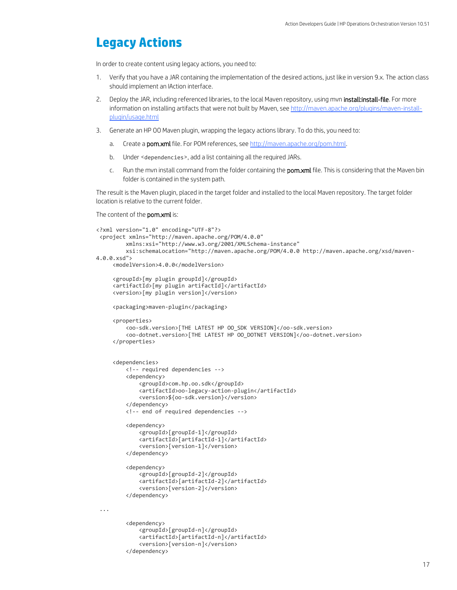# <span id="page-16-0"></span>**Legacy Actions**

In order to create content using legacy actions, you need to:

- 1. Verify that you have a JAR containing the implementation of the desired actions, just like in version 9.x. The action class should implement an IAction interface.
- 2. Deploy the JAR, including referenced libraries, to the local Maven repository, using myn install: install-file. For more information on installing artifacts that were not built by Maven, see [http://maven.apache.org/plugins/maven-install](http://maven.apache.org/plugins/maven-install-plugin/usage.html)[plugin/usage.html](http://maven.apache.org/plugins/maven-install-plugin/usage.html)
- 3. Generate an HP OO Maven plugin, wrapping the legacy actions library. To do this, you need to:
	- a. Create a **pom.xml** file. For POM references, se[e http://maven.apache.org/pom.html.](http://maven.apache.org/pom.html)
	- b. Under <dependencies>, add a list containing all the required JARs.

<artifactId>[artifactId-n]</artifactId>

<version>[version-n]</version>

</dependency>

c. Run the mvn install command from the folder containing the pom.xml file. This is considering that the Maven bin folder is contained in the system path.

The result is the Maven plugin, placed in the target folder and installed to the local Maven repository. The target folder location is relative to the current folder.

The content of the **pom.xml** is:

```
<?xml version="1.0" encoding="UTF-8"?>
 <project xmlns="http://maven.apache.org/POM/4.0.0"
          xmlns:xsi="http://www.w3.org/2001/XMLSchema-instance"
          xsi:schemaLocation="http://maven.apache.org/POM/4.0.0 http://maven.apache.org/xsd/maven-
4.0.0.xsd">
      <modelVersion>4.0.0</modelVersion>
      <groupId>[my plugin groupId]</groupId>
      <artifactId>[my plugin artifactId]</artifactId>
      <version>[my plugin version]</version>
      <packaging>maven-plugin</packaging>
      <properties>
          <oo-sdk.version>[THE LATEST HP OO_SDK VERSION]</oo-sdk.version>
          <oo-dotnet.version>[THE LATEST HP OO_DOTNET VERSION]</oo-dotnet.version>
      </properties>
      <dependencies>
          <!-- required dependencies -->
          <dependency>
              <groupId>com.hp.oo.sdk</groupId>
              <artifactId>oo-legacy-action-plugin</artifactId>
              <version>${oo-sdk.version}</version>
          </dependency>
          <!-- end of required dependencies -->
          <dependency>
              <groupId>[groupId-1]</groupId>
              <artifactId>[artifactId-1]</artifactId>
              <version>[version-1]</version>
          </dependency>
          <dependency>
              <groupId>[groupId-2]</groupId>
              <artifactId>[artifactId-2]</artifactId>
              <version>[version-2]</version>
          </dependency>
 ...
          <dependency>
              <groupId>[groupId-n]</groupId>
```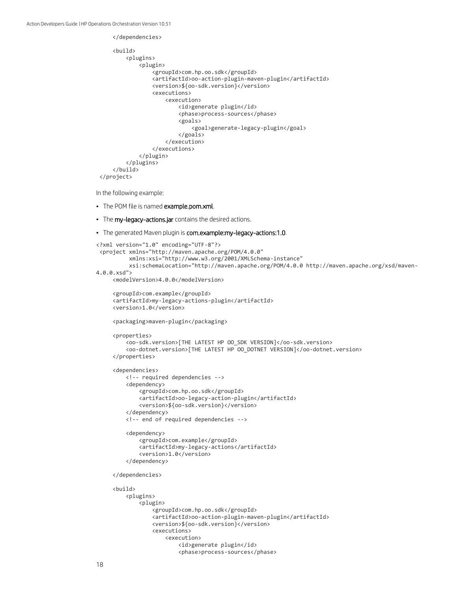```
 </dependencies>
     <build>
         <plugins>
             <plugin>
                  <groupId>com.hp.oo.sdk</groupId>
                  <artifactId>oo-action-plugin-maven-plugin</artifactId>
                  <version>${oo-sdk.version}</version>
                  <executions>
                      <execution>
                          <id>generate plugin</id>
                          <phase>process-sources</phase>
                          <goals>
                               <goal>generate-legacy-plugin</goal>
                           </goals>
                      </execution>
                  </executions>
             </plugin>
         </plugins>
     </build>
</project>
```
In the following example:

- The POM file is named example.pom.xml.
- The my-legacy-actions.jar contains the desired actions.
- The generated Maven plugin is com.example: my-legacy-actions: 1.0.

```
<?xml version="1.0" encoding="UTF-8"?>
 <project xmlns="http://maven.apache.org/POM/4.0.0"
           xmlns:xsi="http://www.w3.org/2001/XMLSchema-instance"
           xsi:schemaLocation="http://maven.apache.org/POM/4.0.0 http://maven.apache.org/xsd/maven-
4.0.0.xsd">
      <modelVersion>4.0.0</modelVersion>
      <groupId>com.example</groupId>
      <artifactId>my-legacy-actions-plugin</artifactId>
      <version>1.0</version>
      <packaging>maven-plugin</packaging>
      <properties>
          <oo-sdk.version>[THE LATEST HP OO_SDK VERSION]</oo-sdk.version>
          <oo-dotnet.version>[THE LATEST HP OO_DOTNET VERSION]</oo-dotnet.version>
      </properties>
      <dependencies>
          <!-- required dependencies -->
          <dependency>
              <groupId>com.hp.oo.sdk</groupId>
              <artifactId>oo-legacy-action-plugin</artifactId>
              <version>${oo-sdk.version}</version>
          </dependency>
          <!-- end of required dependencies -->
          <dependency>
              <groupId>com.example</groupId>
              <artifactId>my-legacy-actions</artifactId>
              <version>1.0</version>
          </dependency>
      </dependencies>
      <build>
          <plugins>
              <plugin>
                   <groupId>com.hp.oo.sdk</groupId>
                   <artifactId>oo-action-plugin-maven-plugin</artifactId>
                   <version>${oo-sdk.version}</version>
                   <executions>
                       <execution>
                           <id>generate plugin</id>
```
<phase>process-sources</phase>